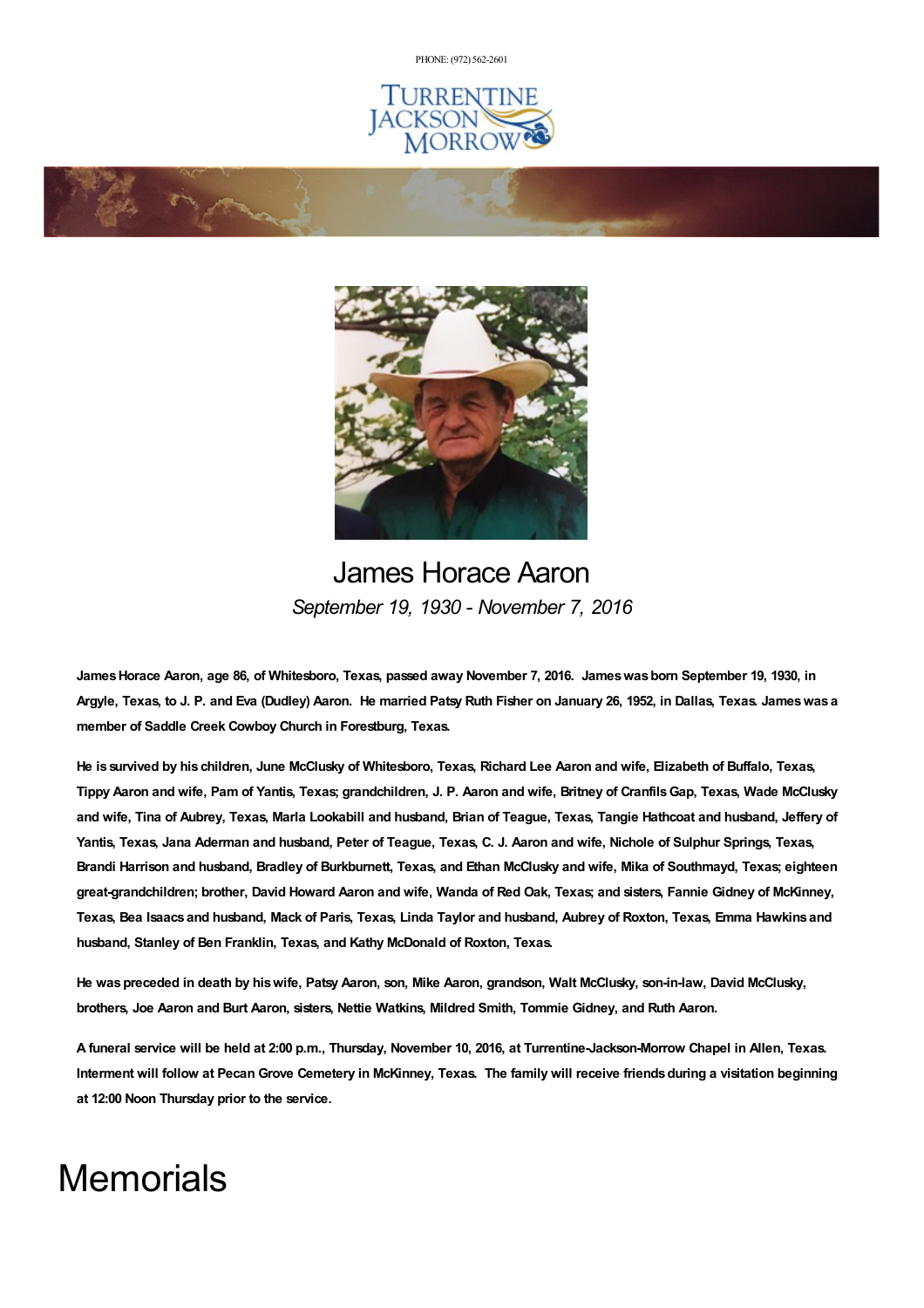PHONE: (972) [562-2601](tel:(972) 562-2601)







## James Horace Aaron *September 19, 1930 - November 7, 2016*

James Horace Aaron, age 86, of Whitesboro, Texas, passed away November 7, 2016. James was born September 19, 1930, in Argyle, Texas, to J. P. and Eva (Dudley) Aaron. He married Patsy Ruth Fisher on January 26, 1952, in Dallas, Texas. James was a **member of Saddle Creek Cowboy Church in Forestburg, Texas.**

He is survived by his children, June McClusky of Whitesboro, Texas, Richard Lee Aaron and wife, Elizabeth of Buffalo, Texas, Tippy Aaron and wife, Pam of Yantis, Texas; grandchildren, J. P. Aaron and wife, Britney of Cranfils Gap, Texas, Wade McClusky and wife, Tina of Aubrey, Texas, Marla Lookabill and husband, Brian of Teague, Texas, Tangie Hathcoat and husband, Jeffery of Yantis, Texas, Jana Aderman and husband, Peter of Teague, Texas, C. J. Aaron and wife, Nichole of Sulphur Springs, Texas, Brandi Harrison and husband, Bradley of Burkburnett, Texas, and Ethan McClusky and wife, Mika of Southmayd, Texas; eighteen great-grandchildren; brother, David Howard Aaron and wife, Wanda of Red Oak, Texas; and sisters, Fannie Gidney of McKinney, Texas, Bea Isaacs and husband, Mack of Paris, Texas, Linda Taylor and husband, Aubrey of Roxton, Texas, Emma Hawkins and **husband, Stanley of Ben Franklin, Texas, and Kathy McDonald of Roxton, Texas.**

He was preceded in death by his wife, Patsy Aaron, son, Mike Aaron, grandson, Walt McClusky, son-in-law, David McClusky, **brothers, Joe Aaron and Burt Aaron, sisters, Nettie Watkins, Mildred Smith, Tommie Gidney, and Ruth Aaron.**

A funeral service will be held at 2:00 p.m., Thursday, November 10, 2016, at Turrentine-Jackson-Morrow Chapel in Allen, Texas. Interment will follow at Pecan Grove Cemetery in McKinney, Texas. The family will receive friends during a visitation beginning **at 12:00 Noon Thursday prior to the service.**

## **Memorials**